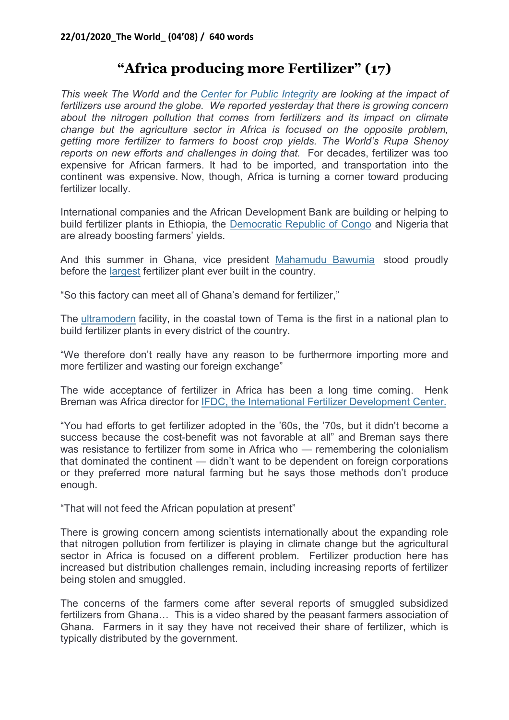## "Africa producing more Fertilizer" (17)

This week The World and the Center for Public Integrity are looking at the impact of fertilizers use around the globe. We reported yesterday that there is growing concern about the nitrogen pollution that comes from fertilizers and its impact on climate change but the agriculture sector in Africa is focused on the opposite problem, getting more fertilizer to farmers to boost crop yields. The World's Rupa Shenoy reports on new efforts and challenges in doing that. For decades, fertilizer was too expensive for African farmers. It had to be imported, and transportation into the continent was expensive. Now, though, Africa is turning a corner toward producing fertilizer locally.

International companies and the African Development Bank are building or helping to build fertilizer plants in Ethiopia, the Democratic Republic of Congo and Nigeria that are already boosting farmers' yields.

And this summer in Ghana, vice president Mahamudu Bawumia stood proudly before the largest fertilizer plant ever built in the country.

"So this factory can meet all of Ghana's demand for fertilizer,"

The ultramodern facility, in the coastal town of Tema is the first in a national plan to build fertilizer plants in every district of the country.

"We therefore don't really have any reason to be furthermore importing more and more fertilizer and wasting our foreign exchange"

The wide acceptance of fertilizer in Africa has been a long time coming. Henk Breman was Africa director for IFDC, the International Fertilizer Development Center.

"You had efforts to get fertilizer adopted in the '60s, the '70s, but it didn't become a success because the cost-benefit was not favorable at all" and Breman says there was resistance to fertilizer from some in Africa who — remembering the colonialism that dominated the continent — didn't want to be dependent on foreign corporations or they preferred more natural farming but he says those methods don't produce enough.

"That will not feed the African population at present"

There is growing concern among scientists internationally about the expanding role that nitrogen pollution from fertilizer is playing in climate change but the agricultural sector in Africa is focused on a different problem. Fertilizer production here has increased but distribution challenges remain, including increasing reports of fertilizer being stolen and smuggled.

The concerns of the farmers come after several reports of smuggled subsidized fertilizers from Ghana… This is a video shared by the peasant farmers association of Ghana. Farmers in it say they have not received their share of fertilizer, which is typically distributed by the government.